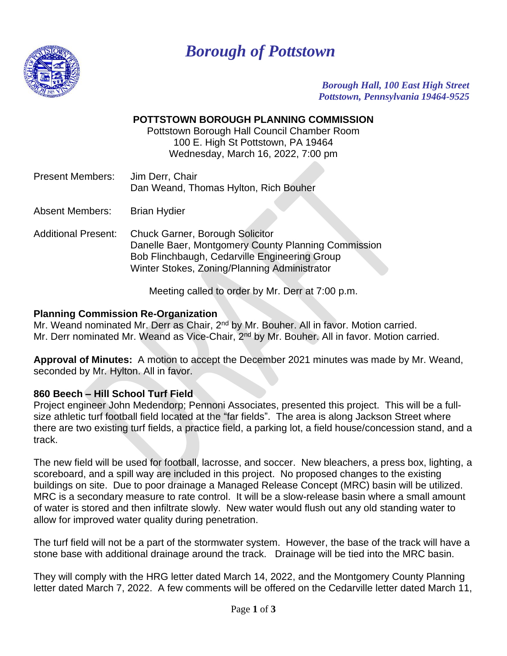

# *Borough of Pottstown*

*Borough Hall, 100 East High Street Pottstown, Pennsylvania 19464-9525*

# **POTTSTOWN BOROUGH PLANNING COMMISSION**

Pottstown Borough Hall Council Chamber Room 100 E. High St Pottstown, PA 19464 Wednesday, March 16, 2022, 7:00 pm

Present Members: Jim Derr, Chair Dan Weand, Thomas Hylton, Rich Bouher

Absent Members: Brian Hydier

Additional Present: Chuck Garner, Borough Solicitor Danelle Baer, Montgomery County Planning Commission Bob Flinchbaugh, Cedarville Engineering Group Winter Stokes, Zoning/Planning Administrator

Meeting called to order by Mr. Derr at 7:00 p.m.

## **Planning Commission Re-Organization**

Mr. Weand nominated Mr. Derr as Chair, 2<sup>nd</sup> by Mr. Bouher. All in favor. Motion carried. Mr. Derr nominated Mr. Weand as Vice-Chair, 2<sup>nd</sup> by Mr. Bouher. All in favor. Motion carried.

**Approval of Minutes:** A motion to accept the December 2021 minutes was made by Mr. Weand, seconded by Mr. Hylton. All in favor.

## **860 Beech – Hill School Turf Field**

Project engineer John Medendorp; Pennoni Associates, presented this project. This will be a fullsize athletic turf football field located at the "far fields". The area is along Jackson Street where there are two existing turf fields, a practice field, a parking lot, a field house/concession stand, and a track.

The new field will be used for football, lacrosse, and soccer. New bleachers, a press box, lighting, a scoreboard, and a spill way are included in this project. No proposed changes to the existing buildings on site. Due to poor drainage a Managed Release Concept (MRC) basin will be utilized. MRC is a secondary measure to rate control. It will be a slow-release basin where a small amount of water is stored and then infiltrate slowly. New water would flush out any old standing water to allow for improved water quality during penetration.

The turf field will not be a part of the stormwater system. However, the base of the track will have a stone base with additional drainage around the track. Drainage will be tied into the MRC basin.

They will comply with the HRG letter dated March 14, 2022, and the Montgomery County Planning letter dated March 7, 2022. A few comments will be offered on the Cedarville letter dated March 11,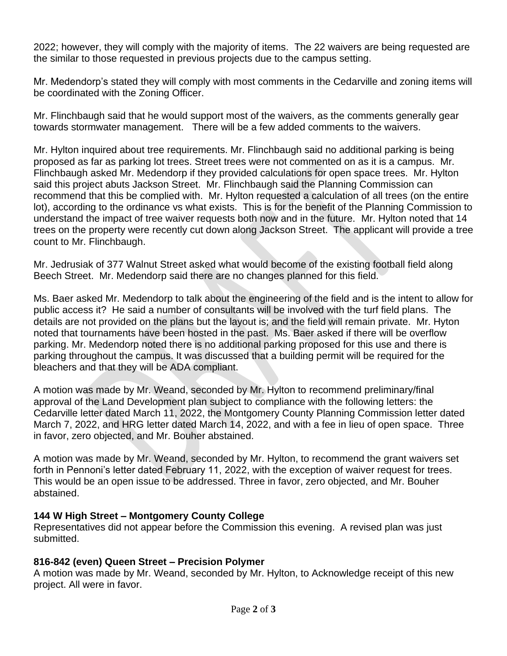2022; however, they will comply with the majority of items. The 22 waivers are being requested are the similar to those requested in previous projects due to the campus setting.

Mr. Medendorp's stated they will comply with most comments in the Cedarville and zoning items will be coordinated with the Zoning Officer.

Mr. Flinchbaugh said that he would support most of the waivers, as the comments generally gear towards stormwater management. There will be a few added comments to the waivers.

Mr. Hylton inquired about tree requirements. Mr. Flinchbaugh said no additional parking is being proposed as far as parking lot trees. Street trees were not commented on as it is a campus. Mr. Flinchbaugh asked Mr. Medendorp if they provided calculations for open space trees. Mr. Hylton said this project abuts Jackson Street. Mr. Flinchbaugh said the Planning Commission can recommend that this be complied with. Mr. Hylton requested a calculation of all trees (on the entire lot), according to the ordinance vs what exists. This is for the benefit of the Planning Commission to understand the impact of tree waiver requests both now and in the future. Mr. Hylton noted that 14 trees on the property were recently cut down along Jackson Street. The applicant will provide a tree count to Mr. Flinchbaugh.

Mr. Jedrusiak of 377 Walnut Street asked what would become of the existing football field along Beech Street. Mr. Medendorp said there are no changes planned for this field.

Ms. Baer asked Mr. Medendorp to talk about the engineering of the field and is the intent to allow for public access it? He said a number of consultants will be involved with the turf field plans. The details are not provided on the plans but the layout is; and the field will remain private. Mr. Hyton noted that tournaments have been hosted in the past. Ms. Baer asked if there will be overflow parking. Mr. Medendorp noted there is no additional parking proposed for this use and there is parking throughout the campus. It was discussed that a building permit will be required for the bleachers and that they will be ADA compliant.

A motion was made by Mr. Weand, seconded by Mr. Hylton to recommend preliminary/final approval of the Land Development plan subject to compliance with the following letters: the Cedarville letter dated March 11, 2022, the Montgomery County Planning Commission letter dated March 7, 2022, and HRG letter dated March 14, 2022, and with a fee in lieu of open space. Three in favor, zero objected, and Mr. Bouher abstained.

A motion was made by Mr. Weand, seconded by Mr. Hylton, to recommend the grant waivers set forth in Pennoni's letter dated February 11, 2022, with the exception of waiver request for trees. This would be an open issue to be addressed. Three in favor, zero objected, and Mr. Bouher abstained.

# **144 W High Street – Montgomery County College**

Representatives did not appear before the Commission this evening. A revised plan was just submitted.

# **816-842 (even) Queen Street – Precision Polymer**

A motion was made by Mr. Weand, seconded by Mr. Hylton, to Acknowledge receipt of this new project. All were in favor.